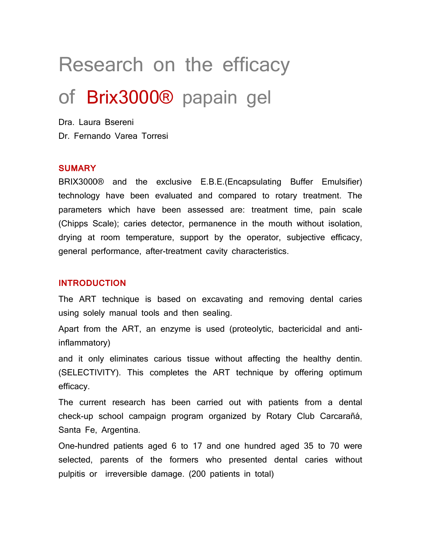# Research on the efficacy

# of Brix3000® papain gel

Dra. Laura Bsereni Dr. Fernando Varea Torresi

#### **SUMARY**

BRIX3000® and the exclusive E.B.E.(Encapsulating Buffer Emulsifier) technology have been evaluated and compared to rotary treatment. The parameters which have been assessed are: treatment time, pain scale (Chipps Scale); caries detector, permanence in the mouth without isolation, drying at room temperature, support by the operator, subjective efficacy, general performance, after-treatment cavity characteristics.

#### **INTRODUCTION**

The ART technique is based on excavating and removing dental caries using solely manual tools and then sealing.

Apart from the ART, an enzyme is used (proteolytic, bactericidal and antiinflammatory)

and it only eliminates carious tissue without affecting the healthy dentin. (SELECTIVITY). This completes the ART technique by offering optimum efficacy.

The current research has been carried out with patients from a dental check-up school campaign program organized by Rotary Club Carcarañá, Santa Fe, Argentina.

One-hundred patients aged 6 to 17 and one hundred aged 35 to 70 were selected, parents of the formers who presented dental caries without pulpitis or irreversible damage. (200 patients in total)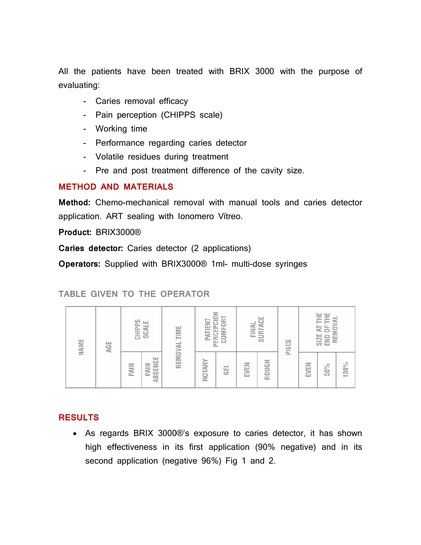All the patients have been treated with BRIX 3000 with the purpose of evaluating:

- Caries removal efficacy
- Pain perception (CHIPPS scale)
- Working time
- Performance regarding caries detector
- Volatile residues during treatment
- Pre and post treatment difference of the cavity size.

#### **METHOD AND MATERIALS**

**Method:** Chemo-mechanical removal with manual tools and caries detector application. ART sealing with Ionomero Vítreo.

**Product:** BRIX3000®

**Caries detector:** Caries detector (2 applications)

**Operators:** Supplied with BRIX3000® 1ml- multi-dose syringes

#### **TABLE GIVEN TO THE OPERATOR**

| NAME | AGE | CHIPPS<br>SCALE |                        | REMOVAL TIME | PERCEPCION<br>COMFORT<br>PATIENT |     | SURFACE<br>FINAL |       | PIECE | END OF THE<br>SIZE AT THE<br>REMOVAL |     |      |
|------|-----|-----------------|------------------------|--------------|----------------------------------|-----|------------------|-------|-------|--------------------------------------|-----|------|
|      |     | PAIN            | ABSENCE<br><b>PAIN</b> |              | ROTARY                           | GEL | EVEN             | ROUGH |       | EVEN                                 | 50% | 100% |

#### **RESULTS**

• As regards BRIX 3000®'s exposure to caries detector, it has shown high effectiveness in its first application (90% negative) and in its second application (negative 96%) Fig 1 and 2.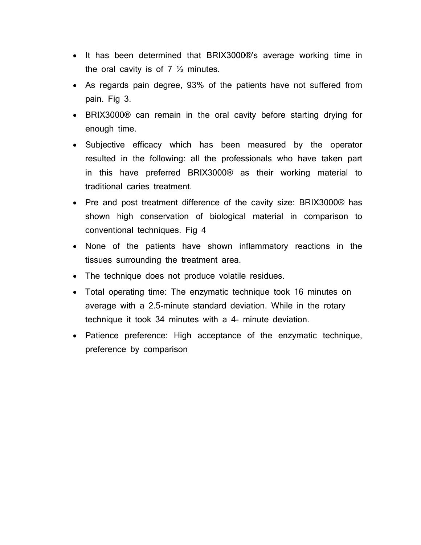- It has been determined that BRIX3000®'s average working time in the oral cavity is of  $7 \frac{1}{2}$  minutes.
- As regards pain degree, 93% of the patients have not suffered from pain. Fig 3.
- BRIX3000® can remain in the oral cavity before starting drying for enough time.
- Subjective efficacy which has been measured by the operator resulted in the following: all the professionals who have taken part in this have preferred BRIX3000® as their working material to traditional caries treatment.
- Pre and post treatment difference of the cavity size: BRIX3000® has shown high conservation of biological material in comparison to conventional techniques. Fig 4
- None of the patients have shown inflammatory reactions in the tissues surrounding the treatment area.
- The technique does not produce volatile residues.
- Total operating time: The enzymatic technique took 16 minutes on average with a 2.5-minute standard deviation. While in the rotary technique it took 34 minutes with a 4- minute deviation.
- Patience preference: High acceptance of the enzymatic technique, preference by comparison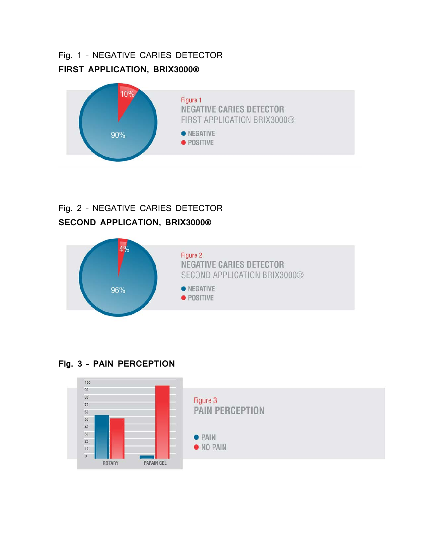## Fig. 1 – NEGATIVE CARIES DETECTOR **FIRST APPLICATION, BRIX3000®**



## Fig. 2 – NEGATIVE CARIES DETECTOR **SECOND APPLICATION, BRIX3000®**



#### **Fig. 3 – PAIN PERCEPTION**

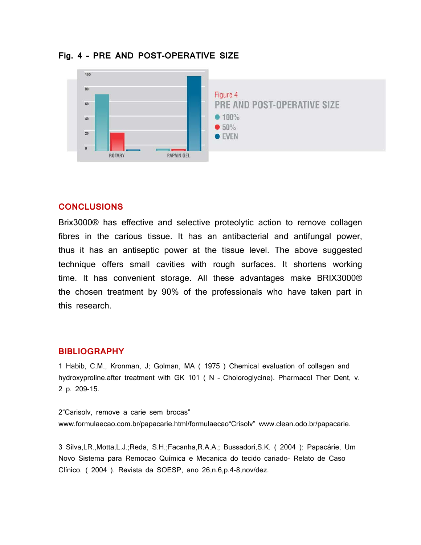

**Fig. 4 – PRE AND POST-OPERATIVE SIZE**

#### **CONCLUSIONS**

Brix3000® has effective and selective proteolytic action to remove collagen fibres in the carious tissue. It has an antibacterial and antifungal power, thus it has an antiseptic power at the tissue level. The above suggested technique offers small cavities with rough surfaces. It shortens working time. It has convenient storage. All these advantages make BRIX3000® the chosen treatment by 90% of the professionals who have taken part in this research.

#### **BIBLIOGRAPHY**

1 Habib, C.M., Kronman, J; Golman, MA ( 1975 ) Chemical evaluation of collagen and hydroxyproline.after treatment with GK 101 ( N – Choloroglycine). Pharmacol Ther Dent, v. 2 p. 209-15.

2"Carisolv, remove a carie sem brocas" www.formulaecao.com.br/papacarie.html/formulaecao"Crisolv" www.clean.odo.br/papacarie.

3 Silva,LR.,Motta,L.J.;Reda, S.H.;Facanha,R.A.A.; Bussadori,S.K. ( 2004 ): Papacárie, Um Novo Sistema para Remocao Química e Mecanica do tecido cariado- Relato de Caso Clínico. ( 2004 ). Revista da SOESP, ano 26,n.6,p.4-8,nov/dez.